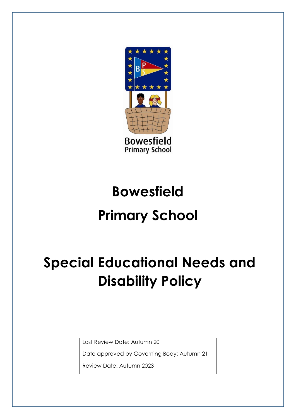

# **Bowesfield Primary School**

# **Special Educational Needs and Disability Policy**

Last Review Date: Autumn 20

Date approved by Governing Body: Autumn 21

Review Date: Autumn 2023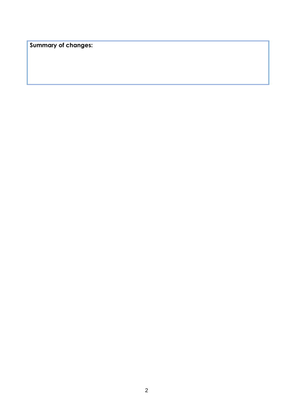**Summary of changes:**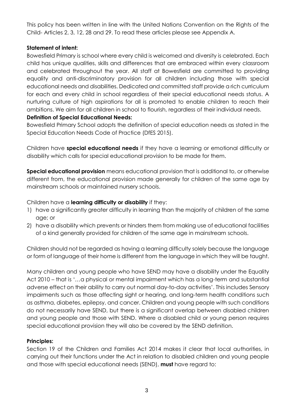This policy has been written in line with the United Nations Convention on the Rights of the Child- Articles 2, 3, 12, 28 and 29. To read these articles please see Appendix A.

#### **Statement of intent:**

Bowesfield Primary is school where every child is welcomed and diversity is celebrated. Each child has unique qualities, skills and differences that are embraced within every classroom and celebrated throughout the year. All staff at Bowesfield are committed to providing equality and anti-discriminatory provision for all children including those with special educational needs and disabilities. Dedicated and committed staff provide a rich curriculum for each and every child in school regardless of their special educational needs status. A nurturing culture of high aspirations for all is promoted to enable children to reach their ambitions. We aim for all children in school to flourish, regardless of their individual needs.

#### **Definition of Special Educational Needs:**

Bowesfield Primary School adopts the definition of special education needs as stated in the Special Education Needs Code of Practice (DfES 2015).

Children have **special educational needs** if they have a learning or emotional difficulty or disability which calls for special educational provision to be made for them.

**Special educational provision** means educational provision that is additional to, or otherwise different from, the educational provision made generally for children of the same age by mainstream schools or maintained nursery schools.

Children have a **learning difficulty or disability** if they:

- 1) have a significantly greater difficulty in learning than the majority of children of the same age; or
- 2) have a disability which prevents or hinders them from making use of educational facilities of a kind generally provided for children of the same age in mainstream schools.

Children should not be regarded as having a learning difficulty solely because the language or form of language of their home is different from the language in which they will be taught.

Many children and young people who have SEND may have a disability under the Equality Act 2010 – that is '…a physical or mental impairment which has a long-term and substantial adverse effect on their ability to carry out normal day-to-day activities'. This includes Sensory impairments such as those affecting sight or hearing, and long-term health conditions such as asthma, diabetes, epilepsy, and cancer. Children and young people with such conditions do not necessarily have SEND, but there is a significant overlap between disabled children and young people and those with SEND. Where a disabled child or young person requires special educational provision they will also be covered by the SEND definition.

# **Principles:**

Section 19 of the Children and Families Act 2014 makes it clear that local authorities, in carrying out their functions under the Act in relation to disabled children and young people and those with special educational needs (SEND), **must** have regard to: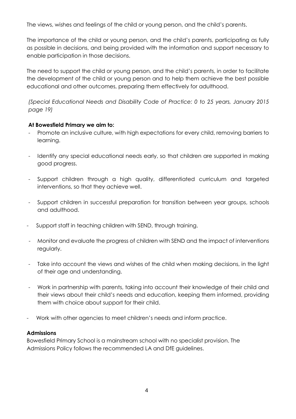The views, wishes and feelings of the child or young person, and the child's parents.

The importance of the child or young person, and the child's parents, participating as fully as possible in decisions, and being provided with the information and support necessary to enable participation in those decisions.

The need to support the child or young person, and the child's parents, in order to facilitate the development of the child or young person and to help them achieve the best possible educational and other outcomes, preparing them effectively for adulthood.

*(Special Educational Needs and Disability Code of Practice: 0 to 25 years, January 2015 page 19)* 

#### **At Bowesfield Primary we aim to:**

- Promote an inclusive culture, with high expectations for every child, removing barriers to learning.
- Identify any special educational needs early, so that children are supported in making good progress.
- Support children through a high quality, differentiated curriculum and targeted interventions, so that they achieve well.
- Support children in successful preparation for transition between year groups, schools and adulthood.
- Support staff in teaching children with SEND, through training.
- Monitor and evaluate the progress of children with SEND and the impact of interventions regularly.
- Take into account the views and wishes of the child when making decisions, in the light of their age and understanding.
- Work in partnership with parents, taking into account their knowledge of their child and their views about their child's needs and education, keeping them informed, providing them with choice about support for their child.
- Work with other agencies to meet children's needs and inform practice.

#### **Admissions**

Bowesfield Primary School is a mainstream school with no specialist provision. The Admissions Policy follows the recommended LA and DfE guidelines.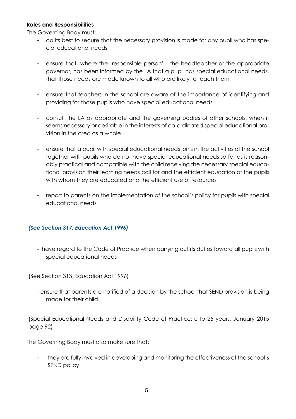#### **Roles and Responsibilities**

The Governing Body must:

- do its best to secure that the necessary provision is made for any pupil who has special educational needs
- ensure that, where the 'responsible person' the headteacher or the appropriate governor, has been informed by the LA that a pupil has special educational needs, that those needs are made known to all who are likely to teach them
- ensure that teachers in the school are aware of the importance of identifying and providing for those pupils who have special educational needs
- consult the LA as appropriate and the governing bodies of other schools, when it seems necessary or desirable in the interests of co-ordinated special educational provision in the area as a whole
- ensure that a pupil with special educational needs joins in the activities of the school together with pupils who do not have special educational needs so far as is reasonably practical and compatible with the child receiving the necessary special educational provision their learning needs call for and the efficient education of the pupils with whom they are educated and the efficient use of resources
- report to parents on the implementation of the school's policy for pupils with special educational needs

#### *(See Section 317, Education Act 1996)*

- have regard to the Code of Practice when carrying out its duties toward all pupils with special educational needs

(See Section 313, Education Act 1996)

- ensure that parents are notified of a decision by the school that SEND provision is being made for their child.

(Special Educational Needs and Disability Code of Practice: 0 to 25 years, January 2015 page 92)

The Governing Body must also make sure that:

they are fully involved in developing and monitoring the effectiveness of the school's SEND policy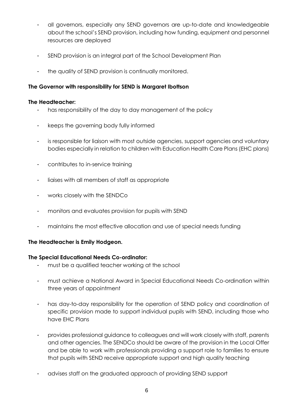- all governors, especially any SEND governors are up-to-date and knowledgeable about the school's SEND provision, including how funding, equipment and personnel resources are deployed
- SEND provision is an integral part of the School Development Plan
- the quality of SEND provision is continually monitored.

# **The Governor with responsibility for SEND is Margaret Ibottson**

### **The Headteacher:**

- has responsibility of the day to day management of the policy
- keeps the governing body fully informed
- is responsible for liaison with most outside agencies, support agencies and voluntary bodies especially in relation to children with Education Health Care Plans (EHC plans)
- contributes to in-service training
- liaises with all members of staff as appropriate
- works closely with the SENDCo
- monitors and evaluates provision for pupils with SEND
- maintains the most effective allocation and use of special needs funding

# **The Headteacher is Emily Hodgeon.**

# **The Special Educational Needs Co-ordinator:**

- must be a qualified teacher working at the school
- must achieve a National Award in Special Educational Needs Co-ordination within three years of appointment
- has day-to-day responsibility for the operation of SEND policy and coordination of specific provision made to support individual pupils with SEND, including those who have EHC Plans
- provides professional guidance to colleagues and will work closely with staff, parents and other agencies. The SENDCo should be aware of the provision in the Local Offer and be able to work with professionals providing a support role to families to ensure that pupils with SEND receive appropriate support and high quality teaching
- advises staff on the graduated approach of providing SEND support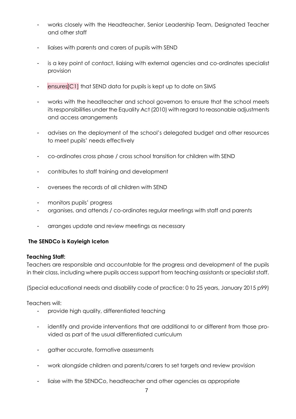- works closely with the Headteacher, Senior Leadership Team, Designated Teacher and other staff
- liaises with parents and carers of pupils with SEND
- is a key point of contact, liaising with external agencies and co-ordinates specialist provision
- ensures<sup>[C1]</sup> that SEND data for pupils is kept up to date on SIMS
- works with the headteacher and school governors to ensure that the school meets its responsibilities under the Equality Act (2010) with regard to reasonable adjustments and access arrangements
- advises on the deployment of the school's delegated budget and other resources to meet pupils' needs effectively
- co-ordinates cross phase / cross school transition for children with SEND
- contributes to staff training and development
- oversees the records of all children with SEND
- monitors pupils' progress
- organises, and attends / co-ordinates regular meetings with staff and parents
- arranges update and review meetings as necessary

# **The SENDCo is Kayleigh Iceton**

#### **Teaching Staff:**

Teachers are responsible and accountable for the progress and development of the pupils in their class, including where pupils access support from teaching assistants or specialist staff.

(Special educational needs and disability code of practice: 0 to 25 years, January 2015 p99)

Teachers will:

- provide high quality, differentiated teaching
- identify and provide interventions that are additional to or different from those provided as part of the usual differentiated curriculum
- gather accurate, formative assessments
- work alongside children and parents/carers to set targets and review provision
- liaise with the SENDCo, headteacher and other agencies as appropriate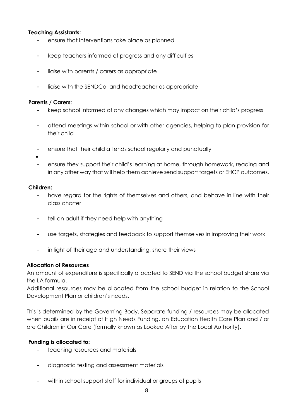#### **Teaching Assistants:**

- ensure that interventions take place as planned
- keep teachers informed of progress and any difficulties
- liaise with parents / carers as appropriate
- liaise with the SENDCo and headteacher as appropriate

#### **Parents / Carers:**

- keep school informed of any changes which may impact on their child's progress
- attend meetings within school or with other agencies, helping to plan provision for their child
- ensure that their child attends school regularly and punctually
- •
- ensure they support their child's learning at home, through homework, reading and in any other way that will help them achieve send support targets or EHCP outcomes.

#### **Children:**

- have regard for the rights of themselves and others, and behave in line with their class charter
- tell an adult if they need help with anything
- use targets, strategies and feedback to support themselves in improving their work
- in light of their age and understanding, share their views

#### **Allocation of Resources**

An amount of expenditure is specifically allocated to SEND via the school budget share via the LA formula.

Additional resources may be allocated from the school budget in relation to the School Development Plan or children's needs.

This is determined by the Governing Body. Separate funding / resources may be allocated when pupils are in receipt of High Needs Funding, an Education Health Care Plan and / or are Children in Our Care (formally known as Looked After by the Local Authority).

#### **Funding is allocated to:**

- teaching resources and materials
- diagnostic testing and assessment materials
- within school support staff for individual or groups of pupils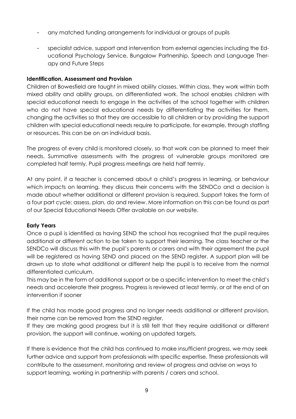- any matched funding arrangements for individual or groups of pupils
- specialist advice, support and intervention from external agencies including the Educational Psychology Service, Bungalow Partnership, Speech and Language Therapy and Future Steps

### **Identification, Assessment and Provision**

Children at Bowesfield are taught in mixed ability classes. Within class, they work within both mixed ability and ability groups, on differentiated work. The school enables children with special educational needs to engage in the activities of the school together with children who do not have special educational needs by differentiating the activities for them, changing the activities so that they are accessible to all children or by providing the support children with special educational needs require to participate, for example, through staffing or resources. This can be on an individual basis.

The progress of every child is monitored closely, so that work can be planned to meet their needs. Summative assessments with the progress of vulnerable groups monitored are completed half termly. Pupil progress meetings are held half termly.

At any point, if a teacher is concerned about a child's progress in learning, or behaviour which impacts on learning, they discuss their concerns with the SENDCo and a decision is made about whether additional or different provision is required. Support takes the form of a four part cycle: assess, plan, do and review. More information on this can be found as part of our Special Educational Needs Offer available on our website.

#### **Early Years**

Once a pupil is identified as having SEND the school has recognised that the pupil requires additional or different action to be taken to support their learning. The class teacher or the SENDCo will discuss this with the pupil's parents or carers and with their agreement the pupil will be registered as having SEND and placed on the SEND register. A support plan will be drawn up to state what additional or different help the pupil is to receive from the normal differentiated curriculum.

This may be in the form of additional support or be a specific intervention to meet the child's needs and accelerate their progress. Progress is reviewed at least termly, or at the end of an intervention if sooner

If the child has made good progress and no longer needs additional or different provision, their name can be removed from the SEND register.

If they are making good progress but it is still felt that they require additional or different provision, the support will continue, working on updated targets.

If there is evidence that the child has continued to make insufficient progress, we may seek further advice and support from professionals with specific expertise. These professionals will contribute to the assessment, monitoring and review of progress and advise on ways to support learning, working in partnership with parents / carers and school.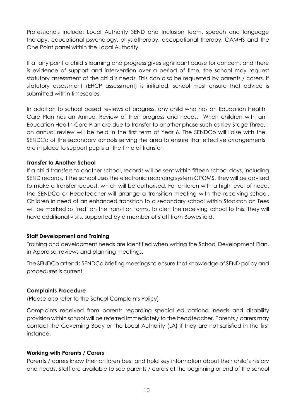Professionals include: Local Authority SEND and Inclusion team, speech and language therapy, educational psychology, physiotherapy, occupational therapy, CAMHS and the One Point panel within the Local Authority.

If at any point a child's learning and progress gives significant cause for concern, and there is evidence of support and intervention over a period of time, the school may request statutory assessment of the child's needs. This can also be requested by parents / carers. If statutory assessment (EHCP assessment) is initiated, school must ensure that advice is submitted within timescales.

In addition to school based reviews of progress, any child who has an Education Health Care Plan has an Annual Review of their progress and needs. When children with an Education Health Care Plan are due to transfer to another phase such as Key Stage Three, an annual review will be held in the first term of Year 6. The SENDCo will liaise with the SENDCo of the secondary schools serving the area to ensure that effective arrangements are in place to support pupils at the time of transfer.

### **Transfer to Another School**

If a child transfers to another school, records will be sent within fifteen school days, including SEND records. If the school uses the electronic recording system CPOMS, they will be advised to make a transfer request, which will be authorised. For children with a high level of need, the SENDCo or Headteacher will arrange a transition meeting with the receiving school. Children in need of an enhanced transition to a secondary school within Stockton on Tees will be marked as 'red' on the transition forms, to alert the receiving school to this. They will have additional visits, supported by a member of staff from Bowesfield.

#### **Staff Development and Training**

Training and development needs are identified when writing the School Development Plan, in Appraisal reviews and planning meetings.

The SENDCo attends SENDCo briefing meetings to ensure that knowledge of SEND policy and procedures is current.

#### **Complaints Procedure**

(Please also refer to the School Complaints Policy)

Complaints received from parents regarding special educational needs and disability provision within school will be referred immediately to the headteacher. Parents / carers may contact the Governing Body or the Local Authority (LA) if they are not satisfied in the first instance.

#### **Working with Parents / Carers**

Parents / carers know their children best and hold key information about their child's history and needs. Staff are available to see parents / carers at the beginning or end of the school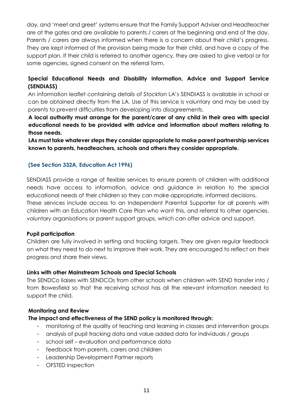day, and 'meet and greet' systems ensure that the Family Support Adviser and Headteacher are at the gates and are available to parents / carers at the beginning and end of the day. Parents / carers are always informed when there is a concern about their child's progress. They are kept informed of the provision being made for their child, and have a copy of the support plan. If their child is referred to another agency, they are asked to give verbal or for some agencies, signed consent on the referral form.

# **Special Educational Needs and Disability Information, Advice and Support Service (SENDIASS)**

An information leaflet containing details of Stockton LA's SENDIASS is available in school or can be obtained directly from the LA. Use of this service is voluntary and may be used by parents to prevent difficulties from developing into disagreements.

**A local authority must arrange for the parent/carer of any child in their area with special educational needs to be provided with advice and information about matters relating to those needs.** 

**LAs must take whatever steps they consider appropriate to make parent partnership services known to parents, headteachers, schools and others they consider appropriate.** 

# **(See Section 332A, Education Act 1996)**

SENDIASS provide a range of flexible services to ensure parents of children with additional needs have access to information, advice and guidance in relation to the special educational needs of their children so they can make appropriate, informed decisions. These services include access to an Independent Parental Supporter for all parents with children with an Education Health Care Plan who want this, and referral to other agencies, voluntary organisations or parent support groups, which can offer advice and support.

# **Pupil participation**

Children are fully involved in setting and tracking targets. They are given regular feedback on what they need to do next to improve their work. They are encouraged to reflect on their progress and share their views.

# **Links with other Mainstream Schools and Special Schools**

The SENDCo liaises with SENDCOs from other schools when children with SEND transfer into / from Bowesfield so that the receiving school has all the relevant information needed to support the child.

# **Monitoring and Review**

# **The impact and effectiveness of the SEND policy is monitored through:**

- monitoring of the quality of teaching and learning in classes and intervention groups
- analysis of pupil tracking data and value added data for individuals / groups
- school self evaluation and performance data
- feedback from parents, carers and children
- Leadership Development Partner reports
- OFSTED inspection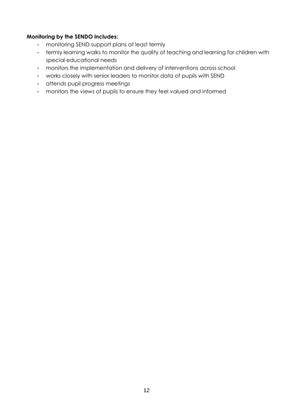# **Monitoring by the SENDO includes:**

- monitoring SEND support plans at least termly
- termly learning walks to monitor the quality of teaching and learning for children with special educational needs
- monitors the implementation and delivery of interventions across school
- works closely with senior leaders to monitor data of pupils with SEND
- attends pupil progress meetings
- monitors the views of pupils to ensure they feel valued and informed